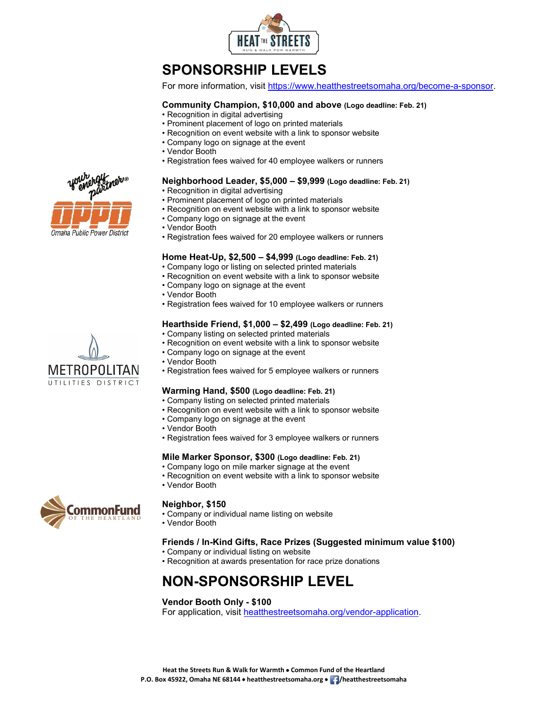

# **SPONSORSHIP LEVELS**

For more information, visit [https://www.heatthestreetsomaha.org/become-a-sponsor.](https://www.heatthestreetsomaha.org/become-a-sponsor)

## **Community Champion, \$10,000 and above (Logo deadline: Feb. 21)**

- Recognition in digital advertising
- Prominent placement of logo on printed materials
- Recognition on event website with a link to sponsor website
- Company logo on signage at the event
- Vendor Booth
- Registration fees waived for 40 employee walkers or runners

### **Neighborhood Leader, \$5,000 – \$9,999 (Logo deadline: Feb. 21)**

• Recognition in digital advertising

- Prominent placement of logo on printed materials
- Recognition on event website with a link to sponsor website
- Company logo on signage at the event
- Vendor Booth
- Registration fees waived for 20 employee walkers or runners

#### **Home Heat-Up, \$2,500 – \$4,999 (Logo deadline: Feb. 21)**

- Company logo or listing on selected printed materials
- Recognition on event website with a link to sponsor website
- Company logo on signage at the event
- Vendor Booth
- Registration fees waived for 10 employee walkers or runners

### **Hearthside Friend, \$1,000 – \$2,499 (Logo deadline: Feb. 21)**

- Company listing on selected printed materials
- Recognition on event website with a link to sponsor website
- Company logo on signage at the event
- Vendor Booth
- Registration fees waived for 5 employee walkers or runners

#### **Warming Hand, \$500 (Logo deadline: Feb. 21)**

- Company listing on selected printed materials
- Recognition on event website with a link to sponsor website
- Company logo on signage at the event
- Vendor Booth
- Registration fees waived for 3 employee walkers or runners

## **Mile Marker Sponsor, \$300 (Logo deadline: Feb. 21)**

- Company logo on mile marker signage at the event
- Recognition on event website with a link to sponsor website
- Vendor Booth



#### **Neighbor, \$150**

- Company or individual name listing on website
- Vendor Booth

## **Friends / In-Kind Gifts, Race Prizes (Suggested minimum value \$100)**

- Company or individual listing on website
- Recognition at awards presentation for race prize donations

## **NON-SPONSORSHIP LEVEL**

## **Vendor Booth Only - \$100**

For application, visit [heatthestreetsomaha.org/vendor-application.](https://www.heatthestreetsomaha.org/vendor-application)